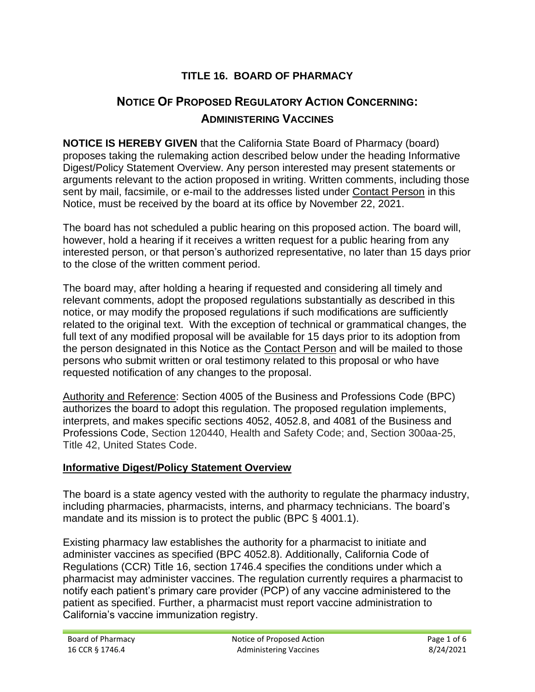# **TITLE 16. BOARD OF PHARMACY**

# **NOTICE OF PROPOSED REGULATORY ACTION CONCERNING: ADMINISTERING VACCINES**

 arguments relevant to the action proposed in writing. Written comments, including those **NOTICE IS HEREBY GIVEN** that the California State Board of Pharmacy (board) proposes taking the rulemaking action described below under the heading Informative Digest/Policy Statement Overview. Any person interested may present statements or sent by mail, facsimile, or e-mail to the addresses listed under Contact Person in this Notice, must be received by the board at its office by November 22, 2021.

 The board has not scheduled a public hearing on this proposed action. The board will, however, hold a hearing if it receives a written request for a public hearing from any interested person, or that person's authorized representative, no later than 15 days prior to the close of the written comment period.

 related to the original text. With the exception of technical or grammatical changes, the the person designated in this Notice as the Contact Person and will be mailed to those requested notification of any changes to the proposal. The board may, after holding a hearing if requested and considering all timely and relevant comments, adopt the proposed regulations substantially as described in this notice, or may modify the proposed regulations if such modifications are sufficiently full text of any modified proposal will be available for 15 days prior to its adoption from persons who submit written or oral testimony related to this proposal or who have

Authority and Reference: Section 4005 of the Business and Professions Code (BPC) authorizes the board to adopt this regulation. The proposed regulation implements, interprets, and makes specific sections 4052, 4052.8, and 4081 of the Business and Professions Code, Section 120440, Health and Safety Code; and, Section 300aa-25, Title 42, United States Code.

### **Informative Digest/Policy Statement Overview**

The board is a state agency vested with the authority to regulate the pharmacy industry, including pharmacies, pharmacists, interns, and pharmacy technicians. The board's mandate and its mission is to protect the public (BPC § 4001.1).

 Existing pharmacy law establishes the authority for a pharmacist to initiate and administer vaccines as specified (BPC 4052.8). Additionally, California Code of Regulations (CCR) Title 16, section 1746.4 specifies the conditions under which a pharmacist may administer vaccines. The regulation currently requires a pharmacist to notify each patient's primary care provider (PCP) of any vaccine administered to the patient as specified. Further, a pharmacist must report vaccine administration to California's vaccine immunization registry.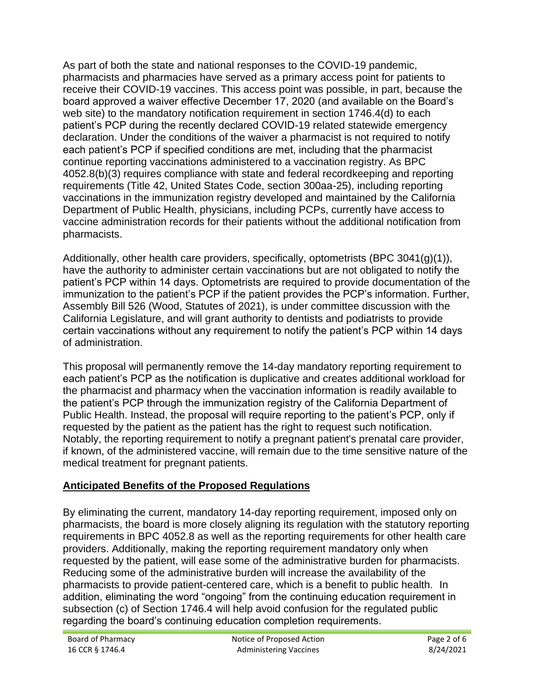Department of Public Health, physicians, including PCPs, currently have access to As part of both the state and national responses to the COVID-19 pandemic, pharmacists and pharmacies have served as a primary access point for patients to receive their COVID-19 vaccines. This access point was possible, in part, because the board approved a waiver effective December 17, 2020 (and available on the Board's web site) to the mandatory notification requirement in section 1746.4(d) to each patient's PCP during the recently declared COVID-19 related statewide emergency declaration. Under the conditions of the waiver a pharmacist is not required to notify each patient's PCP if specified conditions are met, including that the pharmacist continue reporting vaccinations administered to a vaccination registry. As BPC 4052.8(b)(3) requires compliance with state and federal recordkeeping and reporting requirements (Title 42, United States Code, section 300aa-25), including reporting vaccinations in the immunization registry developed and maintained by the California vaccine administration records for their patients without the additional notification from pharmacists.

 patient's PCP within 14 days. Optometrists are required to provide documentation of the Assembly Bill 526 (Wood, Statutes of 2021), is under committee discussion with the Additionally, other health care providers, specifically, optometrists (BPC 3041(g)(1)), have the authority to administer certain vaccinations but are not obligated to notify the immunization to the patient's PCP if the patient provides the PCP's information. Further, California Legislature, and will grant authority to dentists and podiatrists to provide certain vaccinations without any requirement to notify the patient's PCP within 14 days of administration.

 requested by the patient as the patient has the right to request such notification. This proposal will permanently remove the 14-day mandatory reporting requirement to each patient's PCP as the notification is duplicative and creates additional workload for the pharmacist and pharmacy when the vaccination information is readily available to the patient's PCP through the immunization registry of the California Department of Public Health. Instead, the proposal will require reporting to the patient's PCP, only if Notably, the reporting requirement to notify a pregnant patient's prenatal care provider, if known, of the administered vaccine, will remain due to the time sensitive nature of the medical treatment for pregnant patients.

# **Anticipated Benefits of the Proposed Regulations**

 By eliminating the current, mandatory 14-day reporting requirement, imposed only on requested by the patient, will ease some of the administrative burden for pharmacists. Reducing some of the administrative burden will increase the availability of the pharmacists, the board is more closely aligning its regulation with the statutory reporting requirements in BPC 4052.8 as well as the reporting requirements for other health care providers. Additionally, making the reporting requirement mandatory only when pharmacists to provide patient-centered care, which is a benefit to public health. In addition, eliminating the word "ongoing" from the continuing education requirement in subsection (c) of Section 1746.4 will help avoid confusion for the regulated public regarding the board's continuing education completion requirements.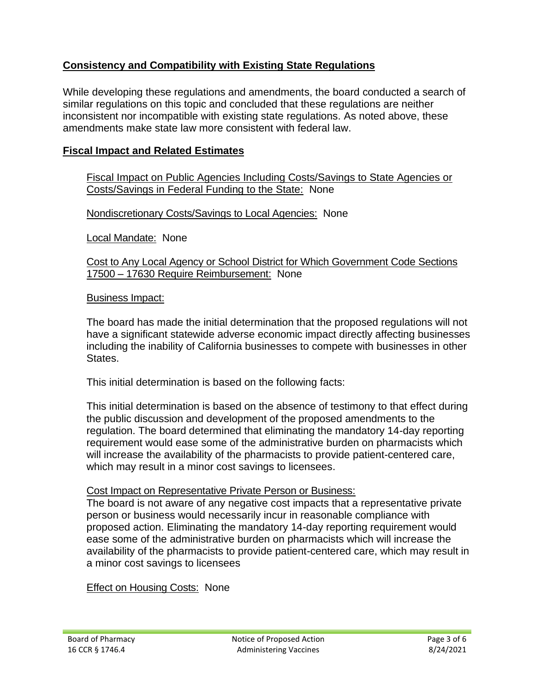# **Consistency and Compatibility with Existing State Regulations**

While developing these regulations and amendments, the board conducted a search of similar regulations on this topic and concluded that these regulations are neither inconsistent nor incompatible with existing state regulations. As noted above, these amendments make state law more consistent with federal law.

## **Fiscal Impact and Related Estimates**

 Costs/Savings in Federal Funding to the State: None Fiscal Impact on Public Agencies Including Costs/Savings to State Agencies or

Nondiscretionary Costs/Savings to Local Agencies: None

Local Mandate: None

 Cost to Any Local Agency or School District for Which Government Code Sections 17500 - 17630 Require Reimbursement: None

### Business Impact:

 including the inability of California businesses to compete with businesses in other The board has made the initial determination that the proposed regulations will not have a significant statewide adverse economic impact directly affecting businesses States.

This initial determination is based on the following facts:

 This initial determination is based on the absence of testimony to that effect during the public discussion and development of the proposed amendments to the requirement would ease some of the administrative burden on pharmacists which regulation. The board determined that eliminating the mandatory 14-day reporting will increase the availability of the pharmacists to provide patient-centered care, which may result in a minor cost savings to licensees.

#### Cost Impact on Representative Private Person or Business:

 The board is not aware of any negative cost impacts that a representative private person or business would necessarily incur in reasonable compliance with proposed action. Eliminating the mandatory 14-day reporting requirement would ease some of the administrative burden on pharmacists which will increase the availability of the pharmacists to provide patient-centered care, which may result in a minor cost savings to licensees

**Effect on Housing Costs: None**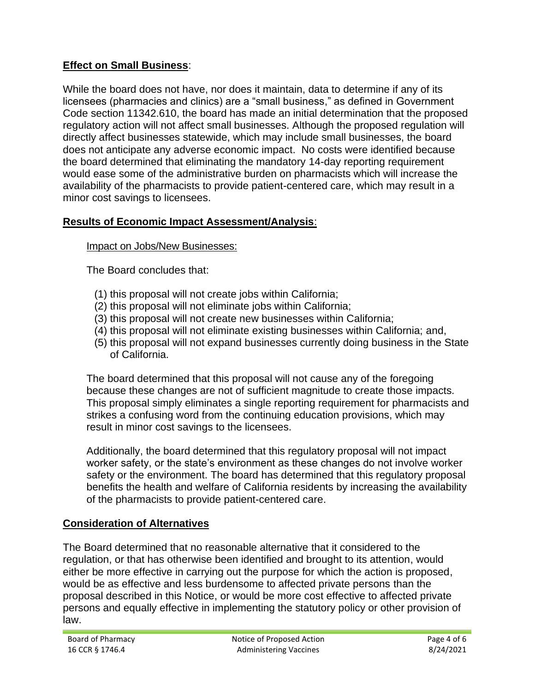# **Effect on Small Business**:

While the board does not have, nor does it maintain, data to determine if any of its licensees (pharmacies and clinics) are a "small business," as defined in Government Code section 11342.610, the board has made an initial determination that the proposed regulatory action will not affect small businesses. Although the proposed regulation will directly affect businesses statewide, which may include small businesses, the board does not anticipate any adverse economic impact. No costs were identified because the board determined that eliminating the mandatory 14-day reporting requirement would ease some of the administrative burden on pharmacists which will increase the availability of the pharmacists to provide patient-centered care, which may result in a minor cost savings to licensees.

### **Results of Economic Impact Assessment/Analysis**:

### Impact on Jobs/New Businesses:

The Board concludes that:

- (1) this proposal will not create jobs within California;
- (2) this proposal will not eliminate jobs within California;
- (3) this proposal will not create new businesses within California;
- (4) this proposal will not eliminate existing businesses within California; and,
- (5) this proposal will not expand businesses currently doing business in the State of California.

The board determined that this proposal will not cause any of the foregoing because these changes are not of sufficient magnitude to create those impacts. This proposal simply eliminates a single reporting requirement for pharmacists and strikes a confusing word from the continuing education provisions, which may result in minor cost savings to the licensees.

 Additionally, the board determined that this regulatory proposal will not impact benefits the health and welfare of California residents by increasing the availability worker safety, or the state's environment as these changes do not involve worker safety or the environment. The board has determined that this regulatory proposal of the pharmacists to provide patient-centered care.

### **Consideration of Alternatives**

 proposal described in this Notice, or would be more cost effective to affected private The Board determined that no reasonable alternative that it considered to the regulation, or that has otherwise been identified and brought to its attention, would either be more effective in carrying out the purpose for which the action is proposed, would be as effective and less burdensome to affected private persons than the persons and equally effective in implementing the statutory policy or other provision of law.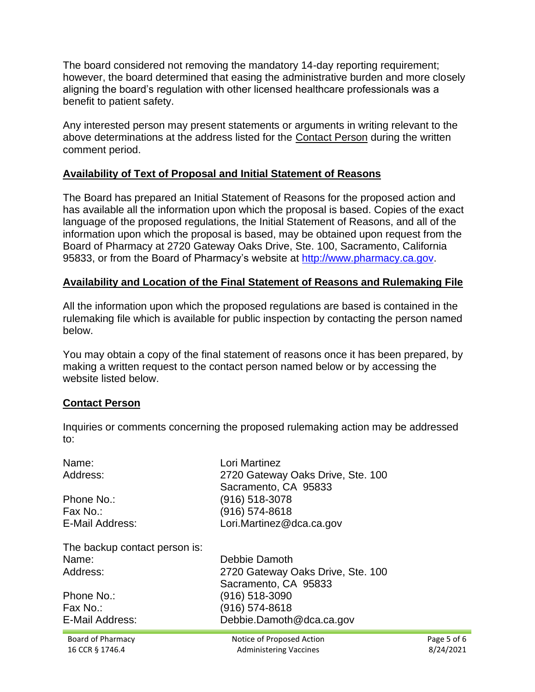The board considered not removing the mandatory 14-day reporting requirement; however, the board determined that easing the administrative burden and more closely aligning the board's regulation with other licensed healthcare professionals was a benefit to patient safety.

Any interested person may present statements or arguments in writing relevant to the above determinations at the address listed for the Contact Person during the written comment period.

### **Availability of Text of Proposal and Initial Statement of Reasons**

 language of the proposed regulations, the Initial Statement of Reasons, and all of the The Board has prepared an Initial Statement of Reasons for the proposed action and has available all the information upon which the proposal is based. Copies of the exact information upon which the proposal is based, may be obtained upon request from the Board of Pharmacy at 2720 Gateway Oaks Drive, Ste. 100, Sacramento, California 95833, or from the Board of Pharmacy's website at [http://www.pharmacy.ca.gov.](http://www.pharmacy.ca.gov/)

### **Availability and Location of the Final Statement of Reasons and Rulemaking File**

 rulemaking file which is available for public inspection by contacting the person named All the information upon which the proposed regulations are based is contained in the below.

You may obtain a copy of the final statement of reasons once it has been prepared, by making a written request to the contact person named below or by accessing the website listed below.

### **Contact Person**

 Inquiries or comments concerning the proposed rulemaking action may be addressed to:

| Name:<br>Address:<br>Phone No.:<br>Fax No.:<br>E-Mail Address:<br>The backup contact person is:<br>Name:<br>Address:<br>Phone No.:<br>Fax No.:<br>E-Mail Address: | Lori Martinez<br>2720 Gateway Oaks Drive, Ste. 100<br>Sacramento, CA 95833<br>(916) 518-3078<br>(916) 574-8618<br>Lori.Martinez@dca.ca.gov<br>Debbie Damoth |             |
|-------------------------------------------------------------------------------------------------------------------------------------------------------------------|-------------------------------------------------------------------------------------------------------------------------------------------------------------|-------------|
|                                                                                                                                                                   |                                                                                                                                                             |             |
|                                                                                                                                                                   |                                                                                                                                                             |             |
|                                                                                                                                                                   |                                                                                                                                                             |             |
|                                                                                                                                                                   |                                                                                                                                                             |             |
|                                                                                                                                                                   | 2720 Gateway Oaks Drive, Ste. 100                                                                                                                           |             |
|                                                                                                                                                                   | Sacramento, CA 95833                                                                                                                                        |             |
|                                                                                                                                                                   | (916) 518-3090                                                                                                                                              |             |
|                                                                                                                                                                   | (916) 574-8618<br>Debbie.Damoth@dca.ca.gov                                                                                                                  |             |
|                                                                                                                                                                   |                                                                                                                                                             |             |
| Board of Pharmacy                                                                                                                                                 | Notice of Proposed Action                                                                                                                                   | Page 5 of 6 |
| 16 CCR § 1746.4                                                                                                                                                   | <b>Administering Vaccines</b>                                                                                                                               | 8/24/2021   |